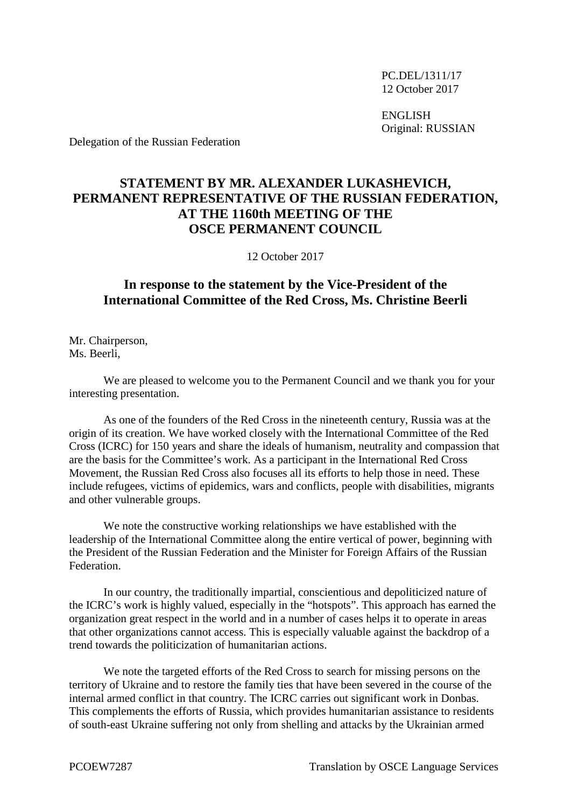PC.DEL/1311/17 12 October 2017

ENGLISH Original: RUSSIAN

Delegation of the Russian Federation

## **STATEMENT BY MR. ALEXANDER LUKASHEVICH, PERMANENT REPRESENTATIVE OF THE RUSSIAN FEDERATION, AT THE 1160th MEETING OF THE OSCE PERMANENT COUNCIL**

12 October 2017

## **In response to the statement by the Vice-President of the International Committee of the Red Cross, Ms. Christine Beerli**

Mr. Chairperson, Ms. Beerli

We are pleased to welcome you to the Permanent Council and we thank you for your interesting presentation.

As one of the founders of the Red Cross in the nineteenth century, Russia was at the origin of its creation. We have worked closely with the International Committee of the Red Cross (ICRC) for 150 years and share the ideals of humanism, neutrality and compassion that are the basis for the Committee's work. As a participant in the International Red Cross Movement, the Russian Red Cross also focuses all its efforts to help those in need. These include refugees, victims of epidemics, wars and conflicts, people with disabilities, migrants and other vulnerable groups.

We note the constructive working relationships we have established with the leadership of the International Committee along the entire vertical of power, beginning with the President of the Russian Federation and the Minister for Foreign Affairs of the Russian Federation.

In our country, the traditionally impartial, conscientious and depoliticized nature of the ICRC's work is highly valued, especially in the "hotspots". This approach has earned the organization great respect in the world and in a number of cases helps it to operate in areas that other organizations cannot access. This is especially valuable against the backdrop of a trend towards the politicization of humanitarian actions.

We note the targeted efforts of the Red Cross to search for missing persons on the territory of Ukraine and to restore the family ties that have been severed in the course of the internal armed conflict in that country. The ICRC carries out significant work in Donbas. This complements the efforts of Russia, which provides humanitarian assistance to residents of south-east Ukraine suffering not only from shelling and attacks by the Ukrainian armed